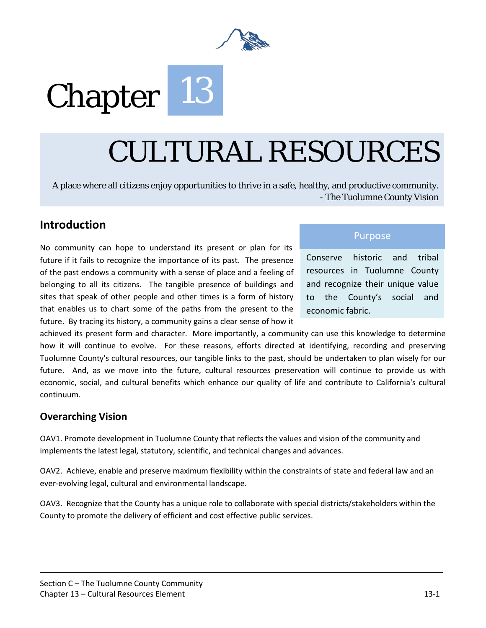

# Chapter 13

## CULTURAL RESOURCES

A place where all citizens enjoy opportunities to thrive in a safe, healthy, and productive community. - The Tuolumne County Vision

#### **Introduction**

No community can hope to understand its present or plan for its future if it fails to recognize the importance of its past. The presence of the past endows a community with a sense of place and a feeling of belonging to all its citizens. The tangible presence of buildings and sites that speak of other people and other times is a form of history that enables us to chart some of the paths from the present to the future. By tracing its history, a community gains a clear sense of how it

#### Purpose

Conserve historic and tribal resources in Tuolumne County and recognize their unique value to the County's social and economic fabric.

achieved its present form and character. More importantly, a community can use this knowledge to determine how it will continue to evolve. For these reasons, efforts directed at identifying, recording and preserving Tuolumne County's cultural resources, our tangible links to the past, should be undertaken to plan wisely for our future. And, as we move into the future, cultural resources preservation will continue to provide us with economic, social, and cultural benefits which enhance our quality of life and contribute to California's cultural continuum.

#### **Overarching Vision**

OAV1. Promote development in Tuolumne County that reflects the values and vision of the community and implements the latest legal, statutory, scientific, and technical changes and advances.

OAV2. Achieve, enable and preserve maximum flexibility within the constraints of state and federal law and an ever-evolving legal, cultural and environmental landscape.

OAV3. Recognize that the County has a unique role to collaborate with special districts/stakeholders within the County to promote the delivery of efficient and cost effective public services.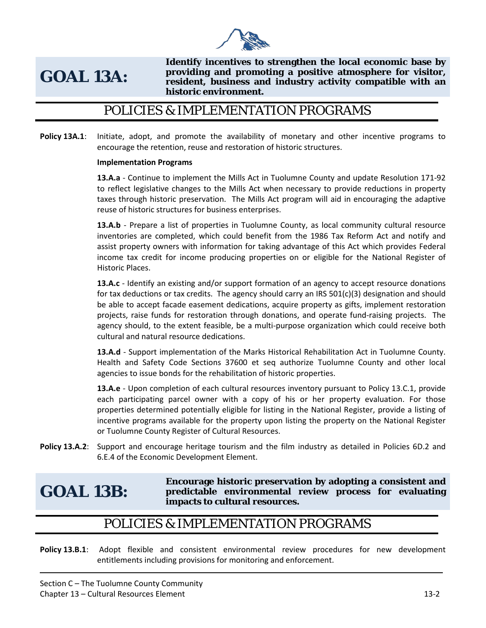

## **GOAL 13A:**

**Identify incentives to strengthen the local economic base by providing and promoting a positive atmosphere for visitor, resident, business and industry activity compatible with an historic environment.** 

#### POLICIES & IMPLEMENTATION PROGRAMS

**Policy 13A.1:** Initiate, adopt, and promote the availability of monetary and other incentive programs to encourage the retention, reuse and restoration of historic structures.

#### **Implementation Programs**

**13.A.a** - Continue to implement the Mills Act in Tuolumne County and update Resolution 171-92 to reflect legislative changes to the Mills Act when necessary to provide reductions in property taxes through historic preservation. The Mills Act program will aid in encouraging the adaptive reuse of historic structures for business enterprises.

**13.A.b** - Prepare a list of properties in Tuolumne County, as local community cultural resource inventories are completed, which could benefit from the 1986 Tax Reform Act and notify and assist property owners with information for taking advantage of this Act which provides Federal income tax credit for income producing properties on or eligible for the National Register of Historic Places.

**13.A.c** - Identify an existing and/or support formation of an agency to accept resource donations for tax deductions or tax credits. The agency should carry an IRS  $501(c)(3)$  designation and should be able to accept facade easement dedications, acquire property as gifts, implement restoration projects, raise funds for restoration through donations, and operate fund-raising projects. The agency should, to the extent feasible, be a multi-purpose organization which could receive both cultural and natural resource dedications.

**13.A.d** - Support implementation of the Marks Historical Rehabilitation Act in Tuolumne County. Health and Safety Code Sections 37600 et seq authorize Tuolumne County and other local agencies to issue bonds for the rehabilitation of historic properties.

**13.A.e** - Upon completion of each cultural resources inventory pursuant to Policy 13.C.1, provide each participating parcel owner with a copy of his or her property evaluation. For those properties determined potentially eligible for listing in the National Register, provide a listing of incentive programs available for the property upon listing the property on the National Register or Tuolumne County Register of Cultural Resources.

**Policy 13.A.2:** Support and encourage heritage tourism and the film industry as detailed in Policies 6D.2 and 6.E.4 of the Economic Development Element.

**GOAL 13B:**

**Encourage historic preservation by adopting a consistent and predictable environmental review process for evaluating impacts to cultural resources.** 

#### POLICIES & IMPLEMENTATION PROGRAMS

**Policy 13.B.1**: Adopt flexible and consistent environmental review procedures for new development entitlements including provisions for monitoring and enforcement.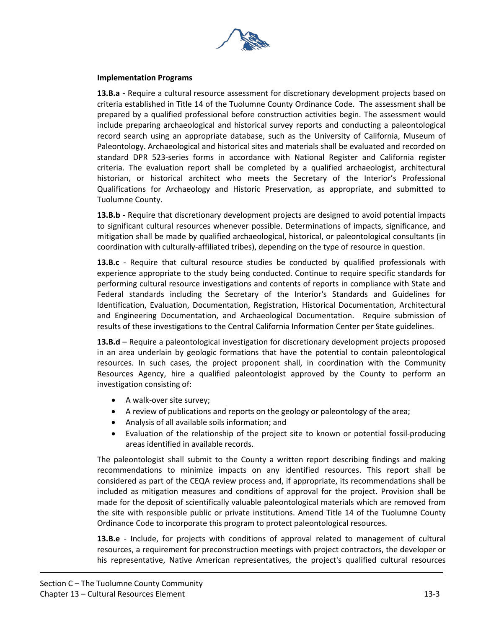

#### **Implementation Programs**

**13.B.a -** Require a cultural resource assessment for discretionary development projects based on criteria established in Title 14 of the Tuolumne County Ordinance Code. The assessment shall be prepared by a qualified professional before construction activities begin. The assessment would include preparing archaeological and historical survey reports and conducting a paleontological record search using an appropriate database, such as the University of California, Museum of Paleontology. Archaeological and historical sites and materials shall be evaluated and recorded on standard DPR 523-series forms in accordance with National Register and California register criteria. The evaluation report shall be completed by a qualified archaeologist, architectural historian, or historical architect who meets the Secretary of the Interior's Professional Qualifications for Archaeology and Historic Preservation, as appropriate, and submitted to Tuolumne County.

**13.B.b -** Require that discretionary development projects are designed to avoid potential impacts to significant cultural resources whenever possible. Determinations of impacts, significance, and mitigation shall be made by qualified archaeological, historical, or paleontological consultants (in coordination with culturally-affiliated tribes), depending on the type of resource in question.

**13.B.c** - Require that cultural resource studies be conducted by qualified professionals with experience appropriate to the study being conducted. Continue to require specific standards for performing cultural resource investigations and contents of reports in compliance with State and Federal standards including the Secretary of the Interior's Standards and Guidelines for Identification, Evaluation, Documentation, Registration, Historical Documentation, Architectural and Engineering Documentation, and Archaeological Documentation. Require submission of results of these investigations to the Central California Information Center per State guidelines.

**13.B.d** – Require a paleontological investigation for discretionary development projects proposed in an area underlain by geologic formations that have the potential to contain paleontological resources. In such cases, the project proponent shall, in coordination with the Community Resources Agency, hire a qualified paleontologist approved by the County to perform an investigation consisting of:

- A walk-over site survey;
- A review of publications and reports on the geology or paleontology of the area;
- Analysis of all available soils information; and
- Evaluation of the relationship of the project site to known or potential fossil-producing areas identified in available records.

The paleontologist shall submit to the County a written report describing findings and making recommendations to minimize impacts on any identified resources. This report shall be considered as part of the CEQA review process and, if appropriate, its recommendations shall be included as mitigation measures and conditions of approval for the project. Provision shall be made for the deposit of scientifically valuable paleontological materials which are removed from the site with responsible public or private institutions. Amend Title 14 of the Tuolumne County Ordinance Code to incorporate this program to protect paleontological resources.

**13.B.e** - Include, for projects with conditions of approval related to management of cultural resources, a requirement for preconstruction meetings with project contractors, the developer or his representative, Native American representatives, the project's qualified cultural resources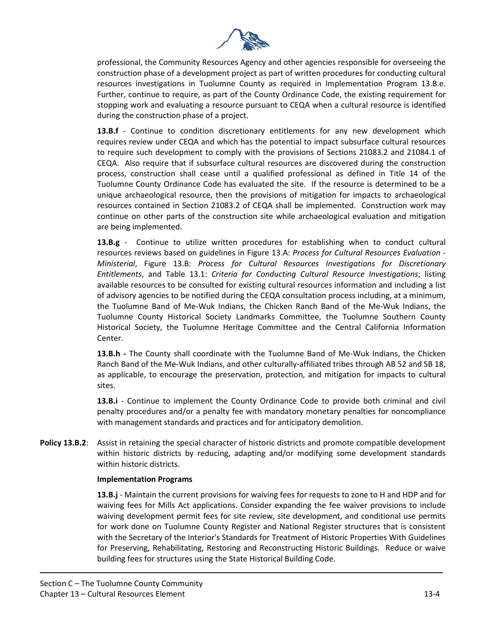

professional, the Community Resources Agency and other agencies responsible for overseeing the construction phase of a development project as part of written procedures for conducting cultural resources investigations in Tuolumne County as required in Implementation Program 13.B.e. Further, continue to require, as part of the County Ordinance Code, the existing requirement for stopping work and evaluating a resource pursuant to CEQA when a cultural resource is identified during the construction phase of a project.

**13.B.f** - Continue to condition discretionary entitlements for any new development which requires review under CEQA and which has the potential to impact subsurface cultural resources to require such development to comply with the provisions of Sections 21083.2 and 21084.1 of CEQA. Also require that if subsurface cultural resources are discovered during the construction process, construction shall cease until a qualified professional as defined in Title 14 of the Tuolumne County Ordinance Code has evaluated the site. If the resource is determined to be a unique archaeological resource, then the provisions of mitigation for impacts to archaeological resources contained in Section 21083.2 of CEQA shall be implemented. Construction work may continue on other parts of the construction site while archaeological evaluation and mitigation are being implemented.

**13.B.g** - Continue to utilize written procedures for establishing when to conduct cultural resources reviews based on guidelines in Figure 13.A: *Process for Cultural Resources Evaluation - Ministerial*, Figure 13.B: *Process for Cultural Resources Investigations for Discretionary Entitlements*, and Table 13.1: *Criteria for Conducting Cultural Resource Investigations*; listing available resources to be consulted for existing cultural resources information and including a list of advisory agencies to be notified during the CEQA consultation process including, at a minimum, the Tuolumne Band of Me-Wuk Indians, the Chicken Ranch Band of the Me-Wuk Indians, the Tuolumne County Historical Society Landmarks Committee, the Tuolumne Southern County Historical Society, the Tuolumne Heritage Committee and the Central California Information Center.

**13.B.h -** The County shall coordinate with the Tuolumne Band of Me-Wuk Indians, the Chicken Ranch Band of the Me-Wuk Indians, and other culturally-affiliated tribes through AB 52 and SB 18, as applicable, to encourage the preservation, protection, and mitigation for impacts to cultural sites.

**13.B.i** - Continue to implement the County Ordinance Code to provide both criminal and civil penalty procedures and/or a penalty fee with mandatory monetary penalties for noncompliance with management standards and practices and for anticipatory demolition.

**Policy 13.B.2**: Assist in retaining the special character of historic districts and promote compatible development within historic districts by reducing, adapting and/or modifying some development standards within historic districts.

#### **Implementation Programs**

**13.B.j** - Maintain the current provisions for waiving fees for requests to zone to H and HDP and for waiving fees for Mills Act applications. Consider expanding the fee waiver provisions to include waiving development permit fees for site review, site development, and conditional use permits for work done on Tuolumne County Register and National Register structures that is consistent with the Secretary of the Interior's Standards for Treatment of Historic Properties With Guidelines for Preserving, Rehabilitating, Restoring and Reconstructing Historic Buildings. Reduce or waive building fees for structures using the State Historical Building Code.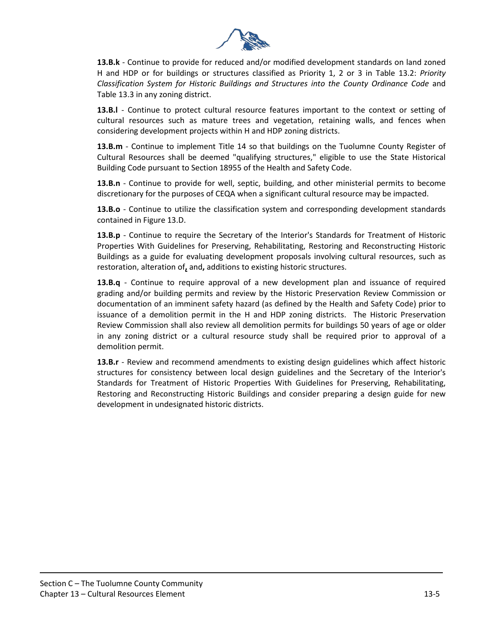

**13.B.k** - Continue to provide for reduced and/or modified development standards on land zoned H and HDP or for buildings or structures classified as Priority 1, 2 or 3 in Table 13.2: *Priority Classification System for Historic Buildings and Structures into the County Ordinance Code* and Table 13.3 in any zoning district.

**13.B.l** - Continue to protect cultural resource features important to the context or setting of cultural resources such as mature trees and vegetation, retaining walls, and fences when considering development projects within H and HDP zoning districts.

**13.B.m** - Continue to implement Title 14 so that buildings on the Tuolumne County Register of Cultural Resources shall be deemed "qualifying structures," eligible to use the State Historical Building Code pursuant to Section 18955 of the Health and Safety Code.

**13.B.n** - Continue to provide for well, septic, building, and other ministerial permits to become discretionary for the purposes of CEQA when a significant cultural resource may be impacted.

**13.B.o** - Continue to utilize the classification system and corresponding development standards contained in Figure 13.D.

**13.B.p** - Continue to require the Secretary of the Interior's Standards for Treatment of Historic Properties With Guidelines for Preserving, Rehabilitating, Restoring and Reconstructing Historic Buildings as a guide for evaluating development proposals involving cultural resources, such as restoration, alteration of**,** and**,** additions to existing historic structures.

**13.B.q** - Continue to require approval of a new development plan and issuance of required grading and/or building permits and review by the Historic Preservation Review Commission or documentation of an imminent safety hazard (as defined by the Health and Safety Code) prior to issuance of a demolition permit in the H and HDP zoning districts. The Historic Preservation Review Commission shall also review all demolition permits for buildings 50 years of age or older in any zoning district or a cultural resource study shall be required prior to approval of a demolition permit.

**13.B.r** - Review and recommend amendments to existing design guidelines which affect historic structures for consistency between local design guidelines and the Secretary of the Interior's Standards for Treatment of Historic Properties With Guidelines for Preserving, Rehabilitating, Restoring and Reconstructing Historic Buildings and consider preparing a design guide for new development in undesignated historic districts.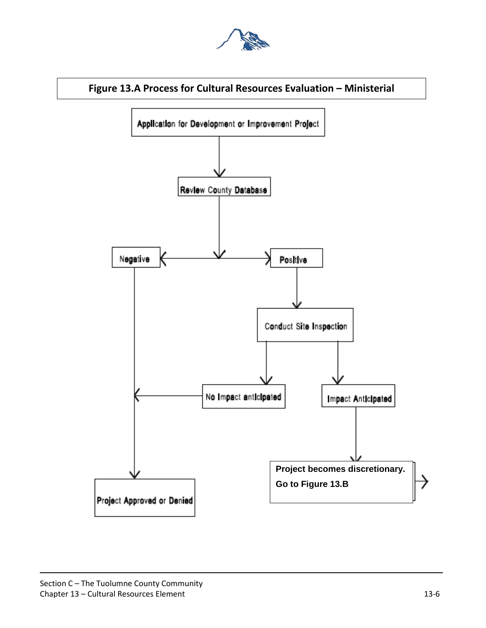



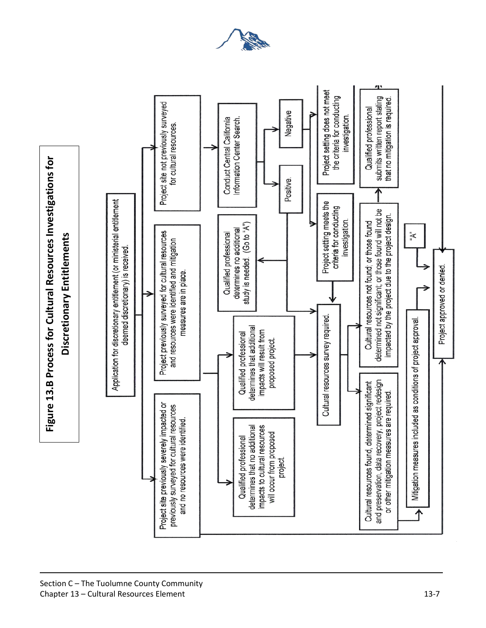

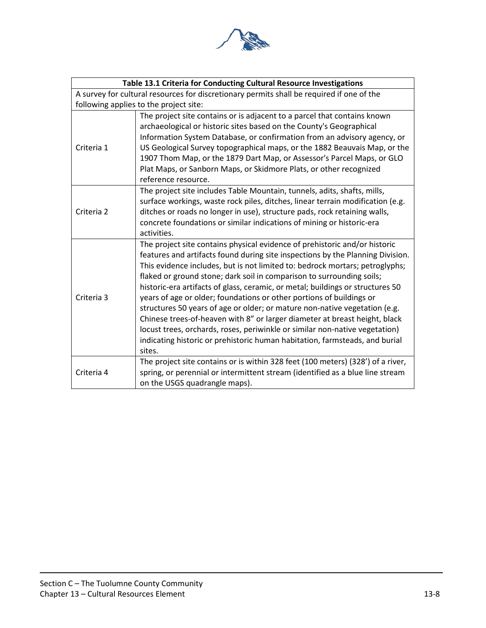

|            | Table 13.1 Criteria for Conducting Cultural Resource Investigations                       |
|------------|-------------------------------------------------------------------------------------------|
|            | A survey for cultural resources for discretionary permits shall be required if one of the |
|            | following applies to the project site:                                                    |
|            | The project site contains or is adjacent to a parcel that contains known                  |
|            | archaeological or historic sites based on the County's Geographical                       |
|            | Information System Database, or confirmation from an advisory agency, or                  |
| Criteria 1 | US Geological Survey topographical maps, or the 1882 Beauvais Map, or the                 |
|            | 1907 Thom Map, or the 1879 Dart Map, or Assessor's Parcel Maps, or GLO                    |
|            | Plat Maps, or Sanborn Maps, or Skidmore Plats, or other recognized                        |
|            | reference resource.                                                                       |
|            | The project site includes Table Mountain, tunnels, adits, shafts, mills,                  |
|            | surface workings, waste rock piles, ditches, linear terrain modification (e.g.            |
| Criteria 2 | ditches or roads no longer in use), structure pads, rock retaining walls,                 |
|            | concrete foundations or similar indications of mining or historic-era                     |
|            | activities.                                                                               |
|            | The project site contains physical evidence of prehistoric and/or historic                |
|            | features and artifacts found during site inspections by the Planning Division.            |
|            | This evidence includes, but is not limited to: bedrock mortars; petroglyphs;              |
|            | flaked or ground stone; dark soil in comparison to surrounding soils;                     |
|            | historic-era artifacts of glass, ceramic, or metal; buildings or structures 50            |
| Criteria 3 | years of age or older; foundations or other portions of buildings or                      |
|            | structures 50 years of age or older; or mature non-native vegetation (e.g.                |
|            | Chinese trees-of-heaven with 8" or larger diameter at breast height, black                |
|            | locust trees, orchards, roses, periwinkle or similar non-native vegetation)               |
|            | indicating historic or prehistoric human habitation, farmsteads, and burial               |
|            | sites.                                                                                    |
|            | The project site contains or is within 328 feet (100 meters) (328') of a river,           |
| Criteria 4 | spring, or perennial or intermittent stream (identified as a blue line stream             |
|            | on the USGS quadrangle maps).                                                             |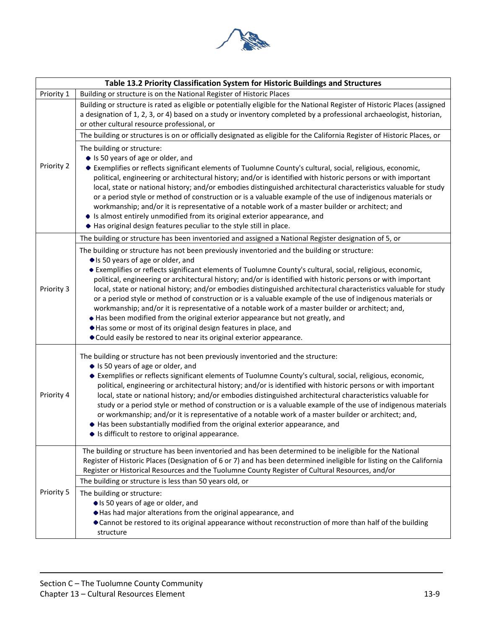

|            | Table 13.2 Priority Classification System for Historic Buildings and Structures                                                                                                                                                                                                                                                                                                                                                                                                                                                                                                                                                                                                                                                                                                                                                                                                                                                      |
|------------|--------------------------------------------------------------------------------------------------------------------------------------------------------------------------------------------------------------------------------------------------------------------------------------------------------------------------------------------------------------------------------------------------------------------------------------------------------------------------------------------------------------------------------------------------------------------------------------------------------------------------------------------------------------------------------------------------------------------------------------------------------------------------------------------------------------------------------------------------------------------------------------------------------------------------------------|
| Priority 1 | Building or structure is on the National Register of Historic Places                                                                                                                                                                                                                                                                                                                                                                                                                                                                                                                                                                                                                                                                                                                                                                                                                                                                 |
|            | Building or structure is rated as eligible or potentially eligible for the National Register of Historic Places (assigned<br>a designation of 1, 2, 3, or 4) based on a study or inventory completed by a professional archaeologist, historian,<br>or other cultural resource professional, or                                                                                                                                                                                                                                                                                                                                                                                                                                                                                                                                                                                                                                      |
|            | The building or structures is on or officially designated as eligible for the California Register of Historic Places, or                                                                                                                                                                                                                                                                                                                                                                                                                                                                                                                                                                                                                                                                                                                                                                                                             |
| Priority 2 | The building or structure:<br>• Is 50 years of age or older, and<br>• Exemplifies or reflects significant elements of Tuolumne County's cultural, social, religious, economic,<br>political, engineering or architectural history; and/or is identified with historic persons or with important<br>local, state or national history; and/or embodies distinguished architectural characteristics valuable for study<br>or a period style or method of construction or is a valuable example of the use of indigenous materials or<br>workmanship; and/or it is representative of a notable work of a master builder or architect; and<br>• Is almost entirely unmodified from its original exterior appearance, and<br>• Has original design features peculiar to the style still in place.                                                                                                                                          |
|            | The building or structure has been inventoried and assigned a National Register designation of 5, or                                                                                                                                                                                                                                                                                                                                                                                                                                                                                                                                                                                                                                                                                                                                                                                                                                 |
| Priority 3 | The building or structure has not been previously inventoried and the building or structure:<br>• Is 50 years of age or older, and<br>• Exemplifies or reflects significant elements of Tuolumne County's cultural, social, religious, economic,<br>political, engineering or architectural history; and/or is identified with historic persons or with important<br>local, state or national history; and/or embodies distinguished architectural characteristics valuable for study<br>or a period style or method of construction or is a valuable example of the use of indigenous materials or<br>workmanship; and/or it is representative of a notable work of a master builder or architect; and,<br>. Has been modified from the original exterior appearance but not greatly, and<br>Has some or most of its original design features in place, and<br>• Could easily be restored to near its original exterior appearance. |
| Priority 4 | The building or structure has not been previously inventoried and the structure:<br>• Is 50 years of age or older, and<br>• Exemplifies or reflects significant elements of Tuolumne County's cultural, social, religious, economic,<br>political, engineering or architectural history; and/or is identified with historic persons or with important<br>local, state or national history; and/or embodies distinguished architectural characteristics valuable for<br>study or a period style or method of construction or is a valuable example of the use of indigenous materials<br>or workmanship; and/or it is representative of a notable work of a master builder or architect; and,<br>• Has been substantially modified from the original exterior appearance, and<br>• Is difficult to restore to original appearance.                                                                                                    |
|            | The building or structure has been inventoried and has been determined to be ineligible for the National<br>Register of Historic Places (Designation of 6 or 7) and has been determined ineligible for listing on the California<br>Register or Historical Resources and the Tuolumne County Register of Cultural Resources, and/or<br>The building or structure is less than 50 years old, or                                                                                                                                                                                                                                                                                                                                                                                                                                                                                                                                       |
| Priority 5 | The building or structure:<br>• Is 50 years of age or older, and<br>Has had major alterations from the original appearance, and<br>• Cannot be restored to its original appearance without reconstruction of more than half of the building<br>structure                                                                                                                                                                                                                                                                                                                                                                                                                                                                                                                                                                                                                                                                             |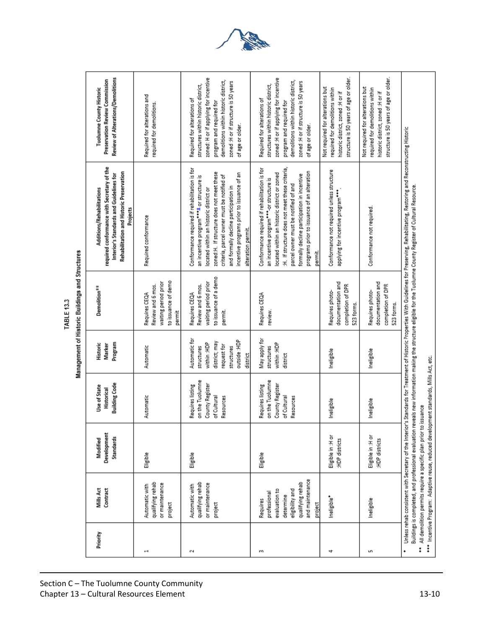Management of Historic Buildings and Structures TABLE 13.3

| Priority | Mills Act<br>Contract                                                                                                                            | Development<br>Standards<br><b>Modified</b> | <b>Building Code</b><br>Use of State<br><b>Historical</b>                          | Program<br>Historic<br>Marker                                                                                        | Demolition <sup>#*</sup>                                                                       | required conformance with Secretary of the<br>Rehabilitation and Historic Preservation<br>Interior's Standards and Guidelines for<br>Additions/Rehabilitations<br>Projects                                                                                                                                                                                        | Review of Alterations/Demolitions<br><b>Preservation Review Commission</b><br><b>Tuolumne County Historic</b>                                                                                                                                   |
|----------|--------------------------------------------------------------------------------------------------------------------------------------------------|---------------------------------------------|------------------------------------------------------------------------------------|----------------------------------------------------------------------------------------------------------------------|------------------------------------------------------------------------------------------------|-------------------------------------------------------------------------------------------------------------------------------------------------------------------------------------------------------------------------------------------------------------------------------------------------------------------------------------------------------------------|-------------------------------------------------------------------------------------------------------------------------------------------------------------------------------------------------------------------------------------------------|
| ÷        | qualifying rehab<br>or maintenance<br>Automatic with<br>project                                                                                  | Eligible                                    | Automatic                                                                          | Automatic                                                                                                            | to issuance of demo<br>waiting period prior<br>Review and 6 mos.<br>Requires CEQA<br>permit    | Required conformance                                                                                                                                                                                                                                                                                                                                              | Required for alterations and<br>required for demolitions.                                                                                                                                                                                       |
| N        | qualifying rehab<br>or maintenance<br>Automatic with<br>project                                                                                  | Eligible                                    | on the Tuolumne<br>County Register<br>Requires listing<br>of Cultural<br>Resources | Automatic for<br>outside :HDP<br>district; may<br>within :HDP<br>request for<br>structures<br>structures<br>district | to issuance of a demo<br>waiting period prior<br>Review and 6 mos.<br>Requires CEQA<br>permit. | Conformance required if rehabilitation is for<br>zoned:H. If structure does not meet these<br>incentive programs prior to issuance of an<br>criteria, parcel owner must be notified of<br>an incentive program <sup>+++±</sup> or structure is<br>and formally decline participation in<br>located within an historic district or<br>alteration permit.           | zoned: H or if applying for incentive<br>demolitions within historic district,<br>zoned : Hor if structure is 50 years<br>structures within historic district,<br>Required for alterations of<br>program and required for<br>of age or older.   |
| m        | and maintenance<br>qualifying rehab<br>eligibility and<br>evaluation to<br>professional<br>determine<br>Requires<br>project                      | Eligible                                    | on the Tuolumne<br>Requires listing<br>County Register<br>of Cultural<br>Resources | Nay apply for<br>within :HDP<br>structures<br>district                                                               | Requires CEQA<br>review.                                                                       | :H. If structure does not meet these criteria,<br>Conformance required if rehabilitation is for<br>programs prior to issuance of an alteration<br>located within an historic district or zoned<br>formally decline participation in incentive<br>an incentive program <sup>+++</sup> -or structure is<br>parcel owner must be notified of and<br>permit.          | zoned : H or if applying for incentive<br>demolitions within historic district,<br>zoned : H or if structure is 50 years<br>structures within historic district,<br>Required for alterations of<br>program and required for<br>of age or older. |
| 4        | Ineligible*                                                                                                                                      | Eligible in :H or<br>:HDP districts         | Ineligible                                                                         | Ineligible                                                                                                           | documentation and<br>completion of DPR<br>Requires photo-<br>523 forms.                        | Conformance not required unless structure<br>applying for incentive program***                                                                                                                                                                                                                                                                                    | structure is 50 years of age or older.<br>Not required for alterations but<br>required for demolitions within<br>historic district, zoned :H or if                                                                                              |
| Ln       | Ineligible                                                                                                                                       | Eligible in :H or<br>:HDP districts         | Ineligible                                                                         | Ineligible                                                                                                           | documentation and<br>completion of DPR<br>Requires photo-<br>523 forms.                        | Conformance not required                                                                                                                                                                                                                                                                                                                                          | structure is 50 years of age or older.<br>Not required for alterations but<br>required for demolitions within<br>historic district, zoned :H or if                                                                                              |
| ţ        | *** Incentive Program: Adaptive reuse, reduced development standards, Mills Act, etc.<br>All demolition permits require a specific plan prior to |                                             | issuance                                                                           |                                                                                                                      |                                                                                                | Unless rehab consistent with Secretary of the Interior's Standards for Treatment of Historic Properties With Guidelines for Preserving, Rehabilitating, Restoring and Reconstructing Historic<br>Buildings is completed, and professional evaluation reveals new information making the structure eligible for the Tuolumne County Register of Cultural Resource. |                                                                                                                                                                                                                                                 |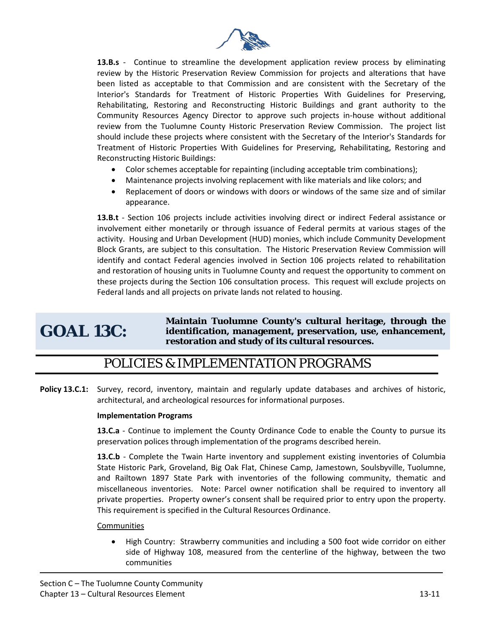

**13.B.s** - Continue to streamline the development application review process by eliminating review by the Historic Preservation Review Commission for projects and alterations that have been listed as acceptable to that Commission and are consistent with the Secretary of the Interior's Standards for Treatment of Historic Properties With Guidelines for Preserving, Rehabilitating, Restoring and Reconstructing Historic Buildings and grant authority to the Community Resources Agency Director to approve such projects in-house without additional review from the Tuolumne County Historic Preservation Review Commission. The project list should include these projects where consistent with the Secretary of the Interior's Standards for Treatment of Historic Properties With Guidelines for Preserving, Rehabilitating, Restoring and Reconstructing Historic Buildings:

- Color schemes acceptable for repainting (including acceptable trim combinations);
- Maintenance projects involving replacement with like materials and like colors; and
- Replacement of doors or windows with doors or windows of the same size and of similar appearance.

13.B.t - Section 106 projects include activities involving direct or indirect Federal assistance or involvement either monetarily or through issuance of Federal permits at various stages of the activity. Housing and Urban Development (HUD) monies, which include Community Development Block Grants, are subject to this consultation. The Historic Preservation Review Commission will identify and contact Federal agencies involved in Section 106 projects related to rehabilitation and restoration of housing units in Tuolumne County and request the opportunity to comment on these projects during the Section 106 consultation process. This request will exclude projects on Federal lands and all projects on private lands not related to housing.

## **GOAL 13C:**

**Maintain Tuolumne County's cultural heritage, through the identification, management, preservation, use, enhancement, restoration and study of its cultural resources.** 

#### POLICIES & IMPLEMENTATION PROGRAMS

**Policy 13.C.1:** Survey, record, inventory, maintain and regularly update databases and archives of historic, architectural, and archeological resources for informational purposes.

#### **Implementation Programs**

**13.C.a** - Continue to implement the County Ordinance Code to enable the County to pursue its preservation polices through implementation of the programs described herein.

**13.C.b** - Complete the Twain Harte inventory and supplement existing inventories of Columbia State Historic Park, Groveland, Big Oak Flat, Chinese Camp, Jamestown, Soulsbyville, Tuolumne, and Railtown 1897 State Park with inventories of the following community, thematic and miscellaneous inventories. Note: Parcel owner notification shall be required to inventory all private properties. Property owner's consent shall be required prior to entry upon the property. This requirement is specified in the Cultural Resources Ordinance.

#### **Communities**

• High Country: Strawberry communities and including a 500 foot wide corridor on either side of Highway 108, measured from the centerline of the highway, between the two communities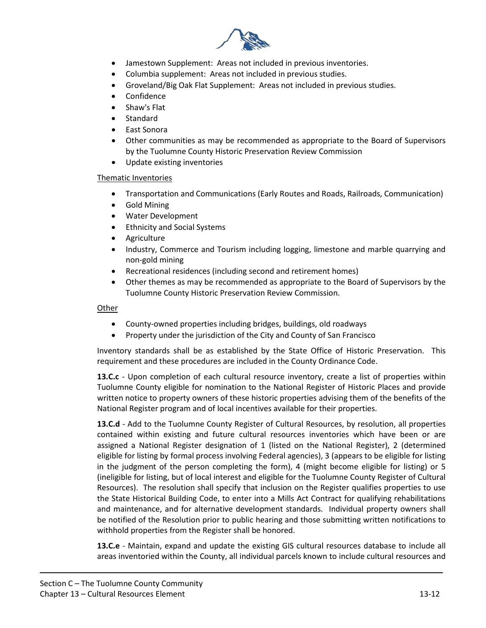

- Jamestown Supplement: Areas not included in previous inventories.
- Columbia supplement: Areas not included in previous studies.
- Groveland/Big Oak Flat Supplement: Areas not included in previous studies.
- Confidence
- Shaw's Flat
- Standard
- East Sonora
- Other communities as may be recommended as appropriate to the Board of Supervisors by the Tuolumne County Historic Preservation Review Commission
- Update existing inventories

#### Thematic Inventories

- Transportation and Communications (Early Routes and Roads, Railroads, Communication)
- Gold Mining
- Water Development
- Ethnicity and Social Systems
- Agriculture
- Industry, Commerce and Tourism including logging, limestone and marble quarrying and non-gold mining
- Recreational residences (including second and retirement homes)
- Other themes as may be recommended as appropriate to the Board of Supervisors by the Tuolumne County Historic Preservation Review Commission.

#### Other

- County-owned properties including bridges, buildings, old roadways
- Property under the jurisdiction of the City and County of San Francisco

Inventory standards shall be as established by the State Office of Historic Preservation. This requirement and these procedures are included in the County Ordinance Code.

**13.C.c** - Upon completion of each cultural resource inventory, create a list of properties within Tuolumne County eligible for nomination to the National Register of Historic Places and provide written notice to property owners of these historic properties advising them of the benefits of the National Register program and of local incentives available for their properties.

**13.C.d** - Add to the Tuolumne County Register of Cultural Resources, by resolution, all properties contained within existing and future cultural resources inventories which have been or are assigned a National Register designation of 1 (listed on the National Register), 2 (determined eligible for listing by formal process involving Federal agencies), 3 (appears to be eligible for listing in the judgment of the person completing the form), 4 (might become eligible for listing) or 5 (ineligible for listing, but of local interest and eligible for the Tuolumne County Register of Cultural Resources). The resolution shall specify that inclusion on the Register qualifies properties to use the State Historical Building Code, to enter into a Mills Act Contract for qualifying rehabilitations and maintenance, and for alternative development standards. Individual property owners shall be notified of the Resolution prior to public hearing and those submitting written notifications to withhold properties from the Register shall be honored.

**13.C.e** - Maintain, expand and update the existing GIS cultural resources database to include all areas inventoried within the County, all individual parcels known to include cultural resources and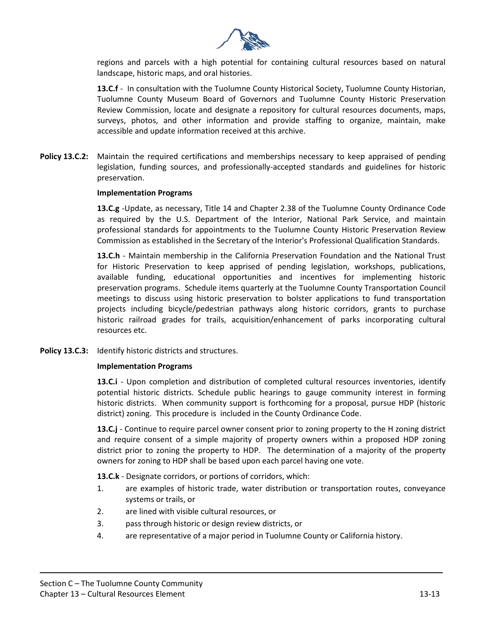

regions and parcels with a high potential for containing cultural resources based on natural landscape, historic maps, and oral histories.

**13.C.f** - In consultation with the Tuolumne County Historical Society, Tuolumne County Historian, Tuolumne County Museum Board of Governors and Tuolumne County Historic Preservation Review Commission, locate and designate a repository for cultural resources documents, maps, surveys, photos, and other information and provide staffing to organize, maintain, make accessible and update information received at this archive.

**Policy 13.C.2:** Maintain the required certifications and memberships necessary to keep appraised of pending legislation, funding sources, and professionally-accepted standards and guidelines for historic preservation.

#### **Implementation Programs**

**13.C.g** -Update, as necessary, Title 14 and Chapter 2.38 of the Tuolumne County Ordinance Code as required by the U.S. Department of the Interior, National Park Service, and maintain professional standards for appointments to the Tuolumne County Historic Preservation Review Commission as established in the Secretary of the Interior's Professional Qualification Standards.

**13.C.h** - Maintain membership in the California Preservation Foundation and the National Trust for Historic Preservation to keep apprised of pending legislation, workshops, publications, available funding, educational opportunities and incentives for implementing historic preservation programs. Schedule items quarterly at the Tuolumne County Transportation Council meetings to discuss using historic preservation to bolster applications to fund transportation projects including bicycle/pedestrian pathways along historic corridors, grants to purchase historic railroad grades for trails, acquisition/enhancement of parks incorporating cultural resources etc.

**Policy 13.C.3:** Identify historic districts and structures.

#### **Implementation Programs**

**13.C.i** - Upon completion and distribution of completed cultural resources inventories, identify potential historic districts. Schedule public hearings to gauge community interest in forming historic districts. When community support is forthcoming for a proposal, pursue HDP (historic district) zoning. This procedure is included in the County Ordinance Code.

**13.C.j** - Continue to require parcel owner consent prior to zoning property to the H zoning district and require consent of a simple majority of property owners within a proposed HDP zoning district prior to zoning the property to HDP. The determination of a majority of the property owners for zoning to HDP shall be based upon each parcel having one vote.

**13.C.k** - Designate corridors, or portions of corridors, which:

- 1. are examples of historic trade, water distribution or transportation routes, conveyance systems or trails, or
- 2. are lined with visible cultural resources, or
- 3. pass through historic or design review districts, or
- 4. are representative of a major period in Tuolumne County or California history.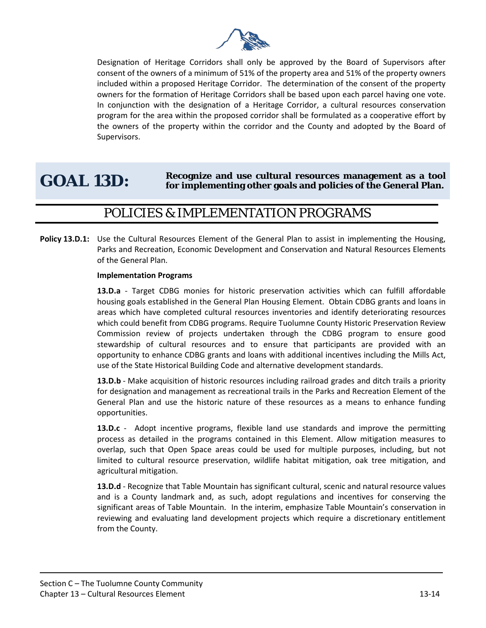

Designation of Heritage Corridors shall only be approved by the Board of Supervisors after consent of the owners of a minimum of 51% of the property area and 51% of the property owners included within a proposed Heritage Corridor. The determination of the consent of the property owners for the formation of Heritage Corridors shall be based upon each parcel having one vote. In conjunction with the designation of a Heritage Corridor, a cultural resources conservation program for the area within the proposed corridor shall be formulated as a cooperative effort by the owners of the property within the corridor and the County and adopted by the Board of Supervisors.

## GOAL 13D: Recognize and use cultural resources management as a tool for implementing other goals and policies of the General Plan.

#### POLICIES & IMPLEMENTATION PROGRAMS

**Policy 13.D.1:** Use the Cultural Resources Element of the General Plan to assist in implementing the Housing, Parks and Recreation, Economic Development and Conservation and Natural Resources Elements of the General Plan.

#### **Implementation Programs**

**13.D.a** - Target CDBG monies for historic preservation activities which can fulfill affordable housing goals established in the General Plan Housing Element. Obtain CDBG grants and loans in areas which have completed cultural resources inventories and identify deteriorating resources which could benefit from CDBG programs. Require Tuolumne County Historic Preservation Review Commission review of projects undertaken through the CDBG program to ensure good stewardship of cultural resources and to ensure that participants are provided with an opportunity to enhance CDBG grants and loans with additional incentives including the Mills Act, use of the State Historical Building Code and alternative development standards.

**13.D.b** - Make acquisition of historic resources including railroad grades and ditch trails a priority for designation and management as recreational trails in the Parks and Recreation Element of the General Plan and use the historic nature of these resources as a means to enhance funding opportunities.

**13.D.c** - Adopt incentive programs, flexible land use standards and improve the permitting process as detailed in the programs contained in this Element. Allow mitigation measures to overlap, such that Open Space areas could be used for multiple purposes, including, but not limited to cultural resource preservation, wildlife habitat mitigation, oak tree mitigation, and agricultural mitigation.

**13.D.d** - Recognize that Table Mountain has significant cultural, scenic and natural resource values and is a County landmark and, as such, adopt regulations and incentives for conserving the significant areas of Table Mountain. In the interim, emphasize Table Mountain's conservation in reviewing and evaluating land development projects which require a discretionary entitlement from the County.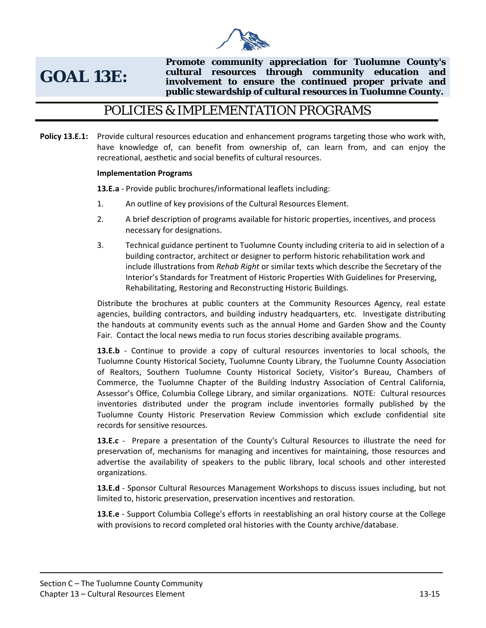

## **GOAL 13E:**

**Promote community appreciation for Tuolumne County's cultural resources through community education and involvement to ensure the continued proper private and public stewardship of cultural resources in Tuolumne County.** 

#### POLICIES & IMPLEMENTATION PROGRAMS

**Policy 13.E.1:** Provide cultural resources education and enhancement programs targeting those who work with, have knowledge of, can benefit from ownership of, can learn from, and can enjoy the recreational, aesthetic and social benefits of cultural resources.

#### **Implementation Programs**

**13.E.a** - Provide public brochures/informational leaflets including:

- 1. An outline of key provisions of the Cultural Resources Element.
- 2. A brief description of programs available for historic properties, incentives, and process necessary for designations.
- 3. Technical guidance pertinent to Tuolumne County including criteria to aid in selection of a building contractor, architect or designer to perform historic rehabilitation work and include illustrations from *Rehab Right* or similar texts which describe the Secretary of the Interior's Standards for Treatment of Historic Properties With Guidelines for Preserving, Rehabilitating, Restoring and Reconstructing Historic Buildings.

Distribute the brochures at public counters at the Community Resources Agency, real estate agencies, building contractors, and building industry headquarters, etc. Investigate distributing the handouts at community events such as the annual Home and Garden Show and the County Fair. Contact the local news media to run focus stories describing available programs.

**13.E.b** - Continue to provide a copy of cultural resources inventories to local schools, the Tuolumne County Historical Society, Tuolumne County Library, the Tuolumne County Association of Realtors, Southern Tuolumne County Historical Society, Visitor's Bureau, Chambers of Commerce, the Tuolumne Chapter of the Building Industry Association of Central California, Assessor's Office, Columbia College Library, and similar organizations. NOTE: Cultural resources inventories distributed under the program include inventories formally published by the Tuolumne County Historic Preservation Review Commission which exclude confidential site records for sensitive resources.

**13.E.c** - Prepare a presentation of the County's Cultural Resources to illustrate the need for preservation of, mechanisms for managing and incentives for maintaining, those resources and advertise the availability of speakers to the public library, local schools and other interested organizations.

**13.E.d** - Sponsor Cultural Resources Management Workshops to discuss issues including, but not limited to, historic preservation, preservation incentives and restoration.

**13.E.e** - Support Columbia College's efforts in reestablishing an oral history course at the College with provisions to record completed oral histories with the County archive/database.